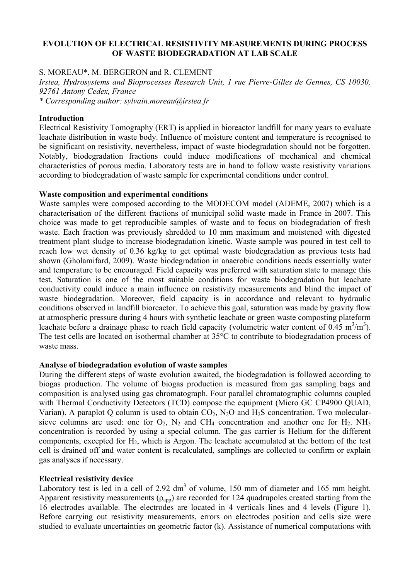## **EVOLUTION OF ELECTRICAL RESISTIVITY MEASUREMENTS DURING PROCESS** OF WASTE BIODEGRADATION AT LAB SCALE

# S. MOREAU\*, M. BERGERON and R. CLEMENT

Irstea, Hydrosystems and Bioprocesses Research Unit, 1 rue Pierre-Gilles de Gennes, CS 10030, 92761 Antony Cedex, France

\* Corresponding author: sylvain.moreau@irstea.fr

### **Introduction**

Electrical Resistivity Tomography (ERT) is applied in bioreactor landfill for many years to evaluate leachate distribution in waste body. Influence of moisture content and temperature is recognised to be significant on resistivity, nevertheless, impact of waste biodegradation should not be forgotten. Notably, biodegradation fractions could induce modifications of mechanical and chemical characteristics of porous media. Laboratory tests are in hand to follow waste resistivity variations according to biodegradation of waste sample for experimental conditions under control.

#### Waste composition and experimental conditions

Waste samples were composed according to the MODECOM model (ADEME, 2007) which is a characterisation of the different fractions of municipal solid waste made in France in 2007. This choice was made to get reproducible samples of waste and to focus on biodegradation of fresh waste. Each fraction was previously shredded to 10 mm maximum and moistened with digested treatment plant sludge to increase biodegradation kinetic. Waste sample was poured in test cell to reach low wet density of 0.36 kg/kg to get optimal waste biodegradation as previous tests had shown (Gholamifard, 2009). Waste biodegradation in anaerobic conditions needs essentially water and temperature to be encouraged. Field capacity was preferred with saturation state to manage this test. Saturation is one of the most suitable conditions for waste biodegradation but leachate conductivity could induce a main influence on resistivity measurements and blind the impact of waste biodegradation. Moreover, field capacity is in accordance and relevant to hydraulic conditions observed in landfill bioreactor. To achieve this goal, saturation was made by gravity flow at atmospheric pressure during 4 hours with synthetic leachate or green waste composting plateform leachate before a drainage phase to reach field capacity (volumetric water content of  $0.45 \text{ m}^3/\text{m}^3$ ). The test cells are located on isothermal chamber at 35<sup>o</sup>C to contribute to biodegradation process of waste mass

## Analyse of biodegradation evolution of waste samples

During the different steps of waste evolution awaited, the biodegradation is followed according to biogas production. The volume of biogas production is measured from gas sampling bags and composition is analysed using gas chromatograph. Four parallel chromatographic columns coupled with Thermal Conductivity Detectors (TCD) compose the equipment (Micro GC CP4900 QUAD, Varian). A paraplot Q column is used to obtain  $CO_2$ , N<sub>2</sub>O and H<sub>2</sub>S concentration. Two molecularsieve columns are used: one for  $O_2$ ,  $N_2$  and CH<sub>4</sub> concentration and another one for H<sub>2</sub>. NH<sub>3</sub> concentration is recorded by using a special column. The gas carrier is Helium for the different components, excepted for H<sub>2</sub>, which is Argon. The leachate accumulated at the bottom of the test cell is drained off and water content is recalculated, samplings are collected to confirm or explain gas analyses if necessary.

## **Electrical resistivity device**

Laboratory test is led in a cell of 2.92 dm<sup>3</sup> of volume, 150 mm of diameter and 165 mm height. Apparent resistivity measurements ( $\rho_{app}$ ) are recorded for 124 quadrupoles created starting from the 16 electrodes available. The electrodes are located in 4 verticals lines and 4 levels (Figure 1). Before carrying out resistivity measurements, errors on electrodes position and cells size were studied to evaluate uncertainties on geometric factor (k). Assistance of numerical computations with